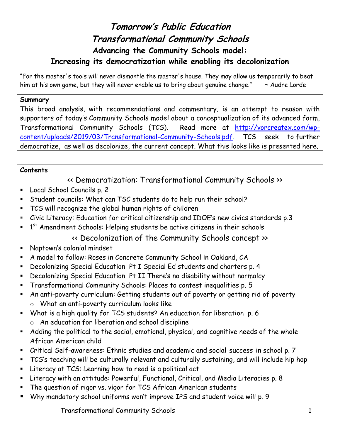# **Tomorrow's Public Education Transformational Community Schools Advancing the Community Schools model: Increasing its democratization while enabling its decolonization**

"For the master's tools will never dismantle the master's house. They may allow us temporarily to beat him at his own game, but they will never enable us to bring about genuine change."  $\sim$  Audre Lorde

#### **Summary**

This broad analysis, with recommendations and commentary, is an attempt to reason with supporters of today's Community Schools model about a conceptualization of its advanced form, Transformational Community Schools (TCS). Read more at [http://vorcreatex.com/wp](http://vorcreatex.com/wp-content/uploads/2019/03/Transformational-Community-Schools.pdf)[content/uploads/2019/03/Transformational-Community-Schools.pdf.](http://vorcreatex.com/wp-content/uploads/2019/03/Transformational-Community-Schools.pdf) TCS seek to further democratize, as well as decolonize, the current concept. What this looks like is presented here.

#### **Contents**

- << Democratization: Transformational Community Schools >>
- Local School Councils p. 2
- Student councils: What can TSC students do to help run their school?
- TCS will recognize the global human rights of children
- Civic Literacy: Education for critical citizenship and IDOE's new civics standards p.3
- $\blacksquare$  1<sup>st</sup> Amendment Schools: Helping students be active citizens in their schools

<< Decolonization of the Community Schools concept >>

- Naptown's colonial mindset
- A model to follow: Roses in Concrete Community School in Oakland, CA
- Decolonizing Special Education Pt I Special Ed students and charters p. 4
- Decolonizing Special Education Pt II There's no disability without normalcy
- Transformational Community Schools: Places to contest inequalities p. 5
- An anti-poverty curriculum: Getting students out of poverty or getting rid of poverty o What an anti-poverty curriculum looks like
- What is a high quality for TCS students? An education for liberation p. 6
	- o An education for liberation and school discipline
- Adding the political to the social, emotional, physical, and cognitive needs of the whole African American child
- Critical Self-awareness: Ethnic studies and academic and social success in school p. 7
- TCS's teaching will be culturally relevant and culturally sustaining, and will include hip hop
- Literacy at TCS: Learning how to read is a political act
- Literacy with an attitude: Powerful, Functional, Critical, and Media Literacies p. 8
- The question of rigor vs. vigor for TCS African American students
- Why mandatory school uniforms won't improve IPS and student voice will p. 9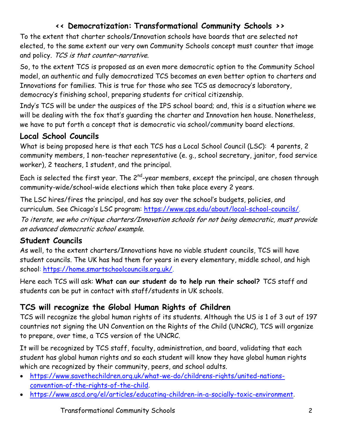## **<< Democratization: Transformational Community Schools >>**

To the extent that charter schools/Innovation schools have boards that are selected not elected, to the same extent our very own Community Schools concept must counter that image and policy. TCS is that counter-narrative.

So, to the extent TCS is proposed as an even more democratic option to the Community School model, an authentic and fully democratized TCS becomes an even better option to charters and Innovations for families. This is true for those who see TCS as democracy's laboratory, democracy's finishing school, preparing students for critical citizenship.

Indy's TCS will be under the auspices of the IPS school board; and, this is a situation where we will be dealing with the fox that's guarding the charter and Innovation hen house. Nonetheless, we have to put forth a concept that is democratic via school/community board elections.

## **Local School Councils**

What is being proposed here is that each TCS has a Local School Council (LSC): 4 parents, 2 community members, 1 non-teacher representative (e. g., school secretary, janitor, food service worker), 2 teachers, 1 student, and the principal.

Each is selected the first year. The 2 $^{\sf{nd}}$ -year members, except the principal, are chosen through community-wide/school-wide elections which then take place every 2 years.

The LSC hires/fires the principal, and has say over the school's budgets, policies, and curriculum. See Chicago's LSC program: [https://www.cps.edu/about/local-school-councils/.](https://www.cps.edu/about/local-school-councils/)

To iterate, we who critique charters/Innovation schools for not being democratic, must provide an advanced democratic school example.

#### **Student Councils**

As well, to the extent charters/Innovations have no viable student councils, TCS will have student councils. The UK has had them for years in every elementary, middle school, and high school: [https://home.smartschoolcouncils.org.uk/.](https://home.smartschoolcouncils.org.uk/)

Here each TCS will ask: **What can our student do to help run their school?** TCS staff and students can be put in contact with staff/students in UK schools.

# **TCS will recognize the Global Human Rights of Children**

TCS will recognize the global human rights of its students. Although the US is 1 of 3 out of 197 countries not signing the UN Convention on the Rights of the Child (UNCRC), TCS will organize to prepare, over time, a TCS version of the UNCRC.

It will be recognized by TCS staff, faculty, administration, and board, validating that each student has global human rights and so each student will know they have global human rights which are recognized by their community, peers, and school adults.

- [https://www.savethechildren.org.uk/what-we-do/childrens-rights/united-nations](https://www.savethechildren.org.uk/what-we-do/childrens-rights/united-nations-convention-of-the-rights-of-the-child)[convention-of-the-rights-of-the-child](https://www.savethechildren.org.uk/what-we-do/childrens-rights/united-nations-convention-of-the-rights-of-the-child).
- <https://www.ascd.org/el/articles/educating-children-in-a-socially-toxic-environment>.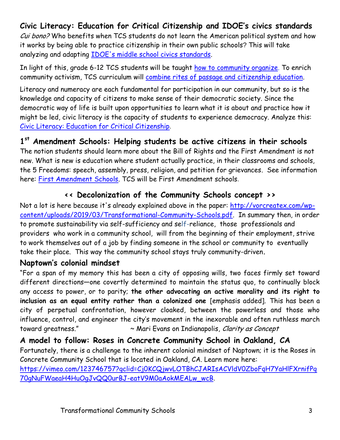**Civic Literacy: Education for Critical Citizenship and IDOE's civics standards** Cui bono. Who benefits when TCS students do not learn the American political system and how it works by being able to practice citizenship in their own public schools? This will take analyzing and adapting [IDOE's middle school civics standards.](https://www.in.gov/doe/about/news/indiana-board-of-education-approves-indianas-new-science-and-middle-school-civics-standards/)

In light of this, grade 6-12 TCS students will be taught [how to community organize.](http://vorcreatex.com/wp-content/uploads/2020/08/Community-Organizing-Advancing-the-Black-Agenda-for-Indianapolis-by-training-youth-how-to-community-organize.pdf) To enrich community activism, TCS curriculum will [combine rites of passage and citizenship education.](https://vorcreatex.com/wp-content/uploads/2012/06/Reinvent-adolescence-Combine-rites-of-passage-and-citizenship-education.pdf)

Literacy and numeracy are each fundamental for participation in our community, but so is the knowledge and capacity of citizens to make sense of their democratic society. Since the democratic way of life is built upon opportunities to learn what it is about and practice how it might be led, civic literacy is the capacity of students to experience democracy. Analyze this: [Civic Literacy: Education for Critical Citizenship](http://vorcreatex.com/wp-content/uploads/2022/05/Civic-Literacy-Education-for-Critical-Citizenship.pdf).

### **1 st Amendment Schools: Helping students be active citizens in their schools**

The notion students should learn more about the Bill of Rights and the First Amendment is not new. What is new is education where student actually practice, in their classrooms and schools, the 5 Freedoms: speech, assembly, press, religion, and petition for grievances. See information here: [First Amendment Schools.](http://vorcreatex.com/wp-content/uploads/2012/08/First-Amendment-Schools-Helping-students-be-active-citizens-while-in-their-schools.pdf) TCS will be First Amendment schools.

#### **<< Decolonization of the Community Schools concept >>**

Not a lot is here because it's already explained above in the paper: [http://vorcreatex.com/wp](http://vorcreatex.com/wp-content/uploads/2019/03/Transformational-Community-Schools.pdf)[content/uploads/2019/03/Transformational-Community-Schools.pdf.](http://vorcreatex.com/wp-content/uploads/2019/03/Transformational-Community-Schools.pdf) In summary then, in order to promote sustainability via self-sufficiency and self-reliance, those professionals and providers who work in a community school, will from the beginning of their employment, strive to work themselves out of a job by finding someone in the school or community to eventually take their place. This way the community school stays truly community-driven**.**

#### **Naptown's colonial mindset**

"For a span of my memory this has been a city of opposing wills, two faces firmly set toward different directions—one covertly determined to maintain the status quo, to continually block any access to power, or to parity; **the other advocating an active morality and its right to inclusion as an equal entity rather than a colonized one** [emphasis added]. This has been a city of perpetual confrontation, however cloaked, between the powerless and those who influence, control, and engineer the city's movement in the inexorable and often ruthless march toward greatness." • Nari Evans on Indianapolis, Clarity as Concept

#### **A model to follow: Roses in Concrete Community School in Oakland, CA**

Fortunately, there is a challenge to the inherent colonial mindset of Naptown; it is the Roses in Concrete Community School that is located in Oakland, CA. Learn more here: [https://vimeo.com/123746757?gclid=Cj0KCQjwvLOTBhCJARIsACVldV0ZboFqH7YaHlFXrnifPg](https://vimeo.com/123746757?gclid=Cj0KCQjwvLOTBhCJARIsACVldV0ZboFqH7YaHlFXrnifPg70gNuFWaeaH4HuOgJvQQ0urBJ-eatV9M0aAokMEALw_wcB) [70gNuFWaeaH4HuOgJvQQ0urBJ-eatV9M0aAokMEALw\\_wcB](https://vimeo.com/123746757?gclid=Cj0KCQjwvLOTBhCJARIsACVldV0ZboFqH7YaHlFXrnifPg70gNuFWaeaH4HuOgJvQQ0urBJ-eatV9M0aAokMEALw_wcB).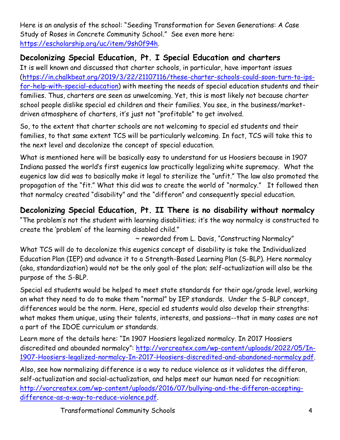Here is an analysis of the school: "Seeding Transformation for Seven Generations: A Case Study of Roses in Concrete Community School." See even more here[:](https://escholarship.org/uc/item/9sh0f94h) <https://escholarship.org/uc/item/9sh0f94h>.

# **Decolonizing Special Education, Pt. I Special Education and charters**

It is well known and discussed that charter schools, in particular, have important issues [\(https://in.chalkbeat.org/2019/3/22/21107116/these-charter-schools-could-soon-turn-to-ips](https://in.chalkbeat.org/2019/3/22/21107116/these-charter-schools-could-soon-turn-to-ips-for-help-with-special-education)[for-help-with-special-education\)](https://in.chalkbeat.org/2019/3/22/21107116/these-charter-schools-could-soon-turn-to-ips-for-help-with-special-education) with meeting the needs of special education students and their families. Thus, charters are seen as unwelcoming. Yet, this is most likely not because charter school people dislike special ed children and their families. You see, in the business/marketdriven atmosphere of charters, it's just not "profitable" to get involved.

So, to the extent that charter schools are not welcoming to special ed students and their families, to that same extent TCS will be particularly welcoming. In fact, TCS will take this to the next level and decolonize the concept of special education.

What is mentioned here will be basically easy to understand for us Hoosiers because in 1907 Indiana passed the world's first eugenics law practically legalizing white supremacy. What the eugenics law did was to basically make it legal to sterilize the "unfit." The law also promoted the propagation of the "fit." What this did was to create the world of "normalcy." It followed then that normalcy created "disability" and the "differon" and consequently special education.

## **Decolonizing Special Education, Pt. II There is no disability without normalcy**

"The problem's not the student with learning disabilities; it's the way normalcy is constructed to create the 'problem' of the learning disabled child."

~ reworded from L. Davis, "Constructing Normalcy"

What TCS will do to decolonize this eugenics concept of disability is take the Individualized Education Plan (IEP) and advance it to a Strength-Based Learning Plan (S-BLP). Here normalcy (aka, standardization) would not be the only goal of the plan; self-actualization will also be the purpose of the S-BLP.

Special ed students would be helped to meet state standards for their age/grade level, working on what they need to do to make them "normal" by IEP standards. Under the S-BLP concept, differences would be the norm. Here, special ed students would also develop their strengths: what makes them unique, using their talents, interests, and passions--that in many cases are not a part of the IDOE curriculum or standards.

Learn more of the details here: "In 1907 Hoosiers legalized normalcy. In 2017 Hoosiers discredited and abounded normalcy": [http://vorcreatex.com/wp-content/uploads/2022/05/In-](http://vorcreatex.com/wp-content/uploads/2022/05/In-1907-Hoosiers-legalized-normalcy-In-2017-Hoosiers-discredited-and-abandoned-normalcy.pdf)[1907-Hoosiers-legalized-normalcy-In-2017-Hoosiers-discredited-and-abandoned-normalcy.pdf.](http://vorcreatex.com/wp-content/uploads/2022/05/In-1907-Hoosiers-legalized-normalcy-In-2017-Hoosiers-discredited-and-abandoned-normalcy.pdf)

Also, see how normalizing difference is a way to reduce violence as it validates the differon, self-actualization and social-actualization, and helps meet our human need for recognition: [http://vorcreatex.com/wp-content/uploads/2016/07/bullying-and-the-differon-accepting](http://vorcreatex.com/wp-content/uploads/2016/07/bullying-and-the-differon-accepting-difference-as-a-way-to-reduce-violence.pdf)[difference-as-a-way-to-reduce-violence.pdf.](http://vorcreatex.com/wp-content/uploads/2016/07/bullying-and-the-differon-accepting-difference-as-a-way-to-reduce-violence.pdf)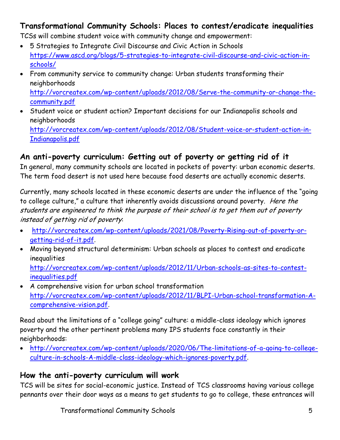## **Transformational Community Schools: Places to contest/eradicate inequalities**

TCSs will combine student voice with community change and empowerment:

- 5 Strategies to Integrate Civil Discourse and Civic Action in Schools [https://www.ascd.org/blogs/5-strategies-to-integrate-civil-discourse-and-civic-action-in](https://www.ascd.org/blogs/5-strategies-to-integrate-civil-discourse-and-civic-action-in-schools/)[schools/](https://www.ascd.org/blogs/5-strategies-to-integrate-civil-discourse-and-civic-action-in-schools/)
- From community service to community change: Urban students transforming their neighborhoods

[http://vorcreatex.com/wp-content/uploads/2012/08/Serve-the-community-or-change-the](http://vorcreatex.com/wp-content/uploads/2012/08/Serve-the-community-or-change-the-community.pdf)[community.pdf](http://vorcreatex.com/wp-content/uploads/2012/08/Serve-the-community-or-change-the-community.pdf)

 Student voice or student action? Important decisions for our Indianapolis schools and neighborhoods

[http://vorcreatex.com/wp-content/uploads/2012/08/Student-voice-or-student-action-in-](http://vorcreatex.com/wp-content/uploads/2012/08/Student-voice-or-student-action-in-Indianapolis.pdf)[Indianapolis.pdf](http://vorcreatex.com/wp-content/uploads/2012/08/Student-voice-or-student-action-in-Indianapolis.pdf)

## **An anti-poverty curriculum: Getting out of poverty or getting rid of it**

In general, many community schools are located in pockets of poverty: urban economic deserts. The term food desert is not used here because food deserts are actually economic deserts.

Currently, many schools located in these economic deserts are under the influence of the "going to college culture," a culture that inherently avoids discussions around poverty. Here the students are engineered to think the purpose of their school is to get them out of poverty instead of getting rid of poverty:

- [http://vorcreatex.com/wp-content/uploads/2021/08/Poverty-Rising-out-of-poverty-or](http://vorcreatex.com/wp-content/uploads/2021/08/Poverty-Rising-out-of-poverty-or-getting-rid-of-it.pdf)[getting-rid-of-it.pdf](http://vorcreatex.com/wp-content/uploads/2021/08/Poverty-Rising-out-of-poverty-or-getting-rid-of-it.pdf).
- Moving beyond structural determinism: Urban schools as places to contest and eradicate inequalities

[http://vorcreatex.com/wp-content/uploads/2012/11/Urban-schools-as-sites-to-contest](http://vorcreatex.com/wp-content/uploads/2012/11/Urban-schools-as-sites-to-contest-inequalities.pdf)[inequalities.pdf](http://vorcreatex.com/wp-content/uploads/2012/11/Urban-schools-as-sites-to-contest-inequalities.pdf)

 A comprehensive vision for urban school transformation [http://vorcreatex.com/wp-content/uploads/2012/11/BLPI-Urban-school-transformation-A](http://vorcreatex.com/wp-content/uploads/2012/11/BLPI-Urban-school-transformation-A-comprehensive-vision.pdf)[comprehensive-vision.pdf](http://vorcreatex.com/wp-content/uploads/2012/11/BLPI-Urban-school-transformation-A-comprehensive-vision.pdf).

Read about the limitations of a "college going" culture: a middle-class ideology which ignores poverty and the other pertinent problems many IPS students face constantly in their neighborhoods:

 [http://vorcreatex.com/wp-content/uploads/2020/06/The-limitations-of-a-going-to-college](http://vorcreatex.com/wp-content/uploads/2020/06/The-limitations-of-a-going-to-college-culture-in-schools-A-middle-class-ideology-which-ignores-poverty.pdf)[culture-in-schools-A-middle-class-ideology-which-ignores-poverty.pdf](http://vorcreatex.com/wp-content/uploads/2020/06/The-limitations-of-a-going-to-college-culture-in-schools-A-middle-class-ideology-which-ignores-poverty.pdf).

#### **How the anti-poverty curriculum will work**

TCS will be sites for social-economic justice. Instead of TCS classrooms having various college pennants over their door ways as a means to get students to go to college, these entrances will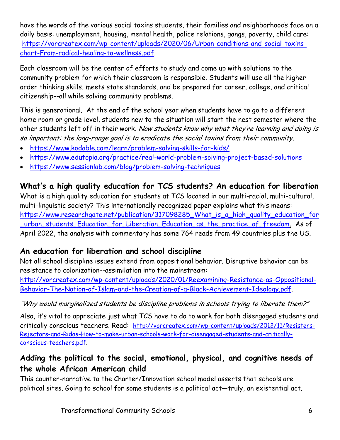have the words of the various social toxins students, their families and neighborhoods face on a daily basis: unemployment, housing, mental health, police relations, gangs, poverty, child care: [https://vorcreatex.com/wp-content/uploads/2020/06/Urban-conditions-and-social-toxins](https://vorcreatex.com/wp-content/uploads/2020/06/Urban-conditions-and-social-toxins-chart-From-radical-healing-to-wellness.pdf)[chart-From-radical-healing-to-wellness.pdf.](https://vorcreatex.com/wp-content/uploads/2020/06/Urban-conditions-and-social-toxins-chart-From-radical-healing-to-wellness.pdf)

Each classroom will be the center of efforts to study and come up with solutions to the community problem for which their classroom is responsible. Students will use all the higher order thinking skills, meets state standards, and be prepared for career, college, and critical citizenship--all while solving community problems.

This is generational. At the end of the school year when students have to go to a different home room or grade level, students new to the situation will start the nest semester where the other students left off in their work. Now students know why what they're learning and doing is so important: the long-range goal is to eradicate the social toxins from their community.

- <https://www.kodable.com/learn/problem-solving-skills-for-kids/>
- <https://www.edutopia.org/practice/real-world-problem-solving-project-based-solutions>
- <https://www.sessionlab.com/blog/problem-solving-techniques>

**What's a high quality education for TCS students? An education for liberation** What is a high quality education for students at TCS located in our multi-racial, multi-cultural,

multi-linguistic society? This internationally recognized paper explains what this means: https://www.researchgate.net/publication/317098285 What is a high quality education for [\\_urban\\_students\\_Education\\_for\\_Liberation\\_Education\\_as\\_the\\_practice\\_of\\_freedom.](https://www.researchgate.net/publication/317098285_What_is_a_high_quality_education_for_urban_students_Education_for_Liberation_Education_as_the_practice_of_freedom) As of April 2022, the analysis with commentary has some 764 reads from 49 countries plus the US.

#### **An education for liberation and school discipline**

Not all school discipline issues extend from oppositional behavior. Disruptive behavior can be resistance to colonization--assimilation into the mainstream:

[http://vorcreatex.com/wp-content/uploads/2020/01/Reexamining-Resistance-as-Oppositional-](http://vorcreatex.com/wp-content/uploads/2020/01/Reexamining-Resistance-as-Oppositional-Behavior-The-Nation-of-Islam-and-the-Creation-of-a-Black-Achievement-Ideology.pdf)[Behavior-The-Nation-of-Islam-and-the-Creation-of-a-Black-Achievement-Ideology.pdf.](http://vorcreatex.com/wp-content/uploads/2020/01/Reexamining-Resistance-as-Oppositional-Behavior-The-Nation-of-Islam-and-the-Creation-of-a-Black-Achievement-Ideology.pdf)

"Why would marginalized students be discipline problems in schools trying to liberate them?"

Also, it's vital to appreciate just what TCS have to do to work for both disengaged students and critically conscious teachers. Read: [http://vorcreatex.com/wp-content/uploads/2012/11/Resisters-](http://vorcreatex.com/wp-content/uploads/2012/11/Resisters-Rejectors-and-Ridas-How-to-make-urban-schools-work-for-disengaged-students-and-critically-conscious-teachers.pdf)[Rejectors-and-Ridas-How-to-make-urban-schools-work-for-disengaged-students-and-critically](http://vorcreatex.com/wp-content/uploads/2012/11/Resisters-Rejectors-and-Ridas-How-to-make-urban-schools-work-for-disengaged-students-and-critically-conscious-teachers.pdf)[conscious-teachers.pdf.](http://vorcreatex.com/wp-content/uploads/2012/11/Resisters-Rejectors-and-Ridas-How-to-make-urban-schools-work-for-disengaged-students-and-critically-conscious-teachers.pdf)

### **Adding the political to the social, emotional, physical, and cognitive needs of the whole African American child**

This counter-narrative to the Charter/Innovation school model asserts that schools are political sites. Going to school for some students is a political act—truly, an existential act.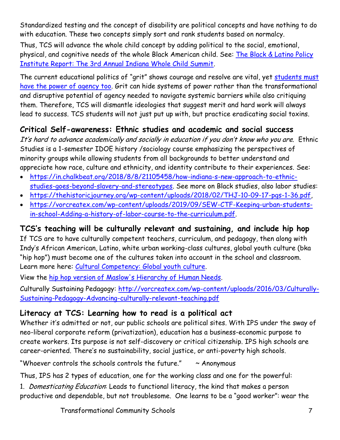Standardized testing and the concept of disability are political concepts and have nothing to do with education. These two concepts simply sort and rank students based on normalcy.

Thus, TCS will advance the whole child concept by adding political to the social, emotional, physical, and cognitive needs of the whole Black American child. See: The Black & Latino Policy [Institute Report: The 3rd Annual Indiana Whole Child Summit.](http://vorcreatex.com/wp-content/uploads/2021/03/A-A-Black-Latino-Policy-Institute-Report-The-3rd-Annual-Whole-Child-Summit-February-24-2021.pdf)

The current educational politics of "grit" shows courage and resolve are vital, yet [students must](https://vorcreatex.com/wp-content/uploads/2022/06/The-Power-of-Student-Agency-Looking-Beyond-Grit-to-Close-the-Opportunity-Gap.pdf)  [have the power of agency too.](https://vorcreatex.com/wp-content/uploads/2022/06/The-Power-of-Student-Agency-Looking-Beyond-Grit-to-Close-the-Opportunity-Gap.pdf) Grit can hide systems of power rather than the transformational and disruptive potential of agency needed to navigate systemic barriers while also critiquing them. Therefore, TCS will dismantle ideologies that suggest merit and hard work will always lead to success. TCS students will not just put up with, but practice eradicating social toxins.

# **Critical Self-awareness: Ethnic studies and academic and social success**

It's hard to advance academically and socially in education if you don't know who you are. Ethnic Studies is a 1-semester IDOE history /sociology course emphasizing the perspectives of minority groups while allowing students from all backgrounds to better understand and appreciate how race, culture and ethnicity, and identity contribute to their experiences. See:

- [https://in.chalkbeat.org/2018/8/8/21105458/how-indiana-s-new-approach-to-ethnic](https://in.chalkbeat.org/2018/8/8/21105458/how-indiana-s-new-approach-to-ethnic-studies-goes-beyond-slavery-and-stereotypes)[studies-goes-beyond-slavery-and-stereotypes.](https://in.chalkbeat.org/2018/8/8/21105458/how-indiana-s-new-approach-to-ethnic-studies-goes-beyond-slavery-and-stereotypes) See more on Black studies, also labor studies:
- [https://thehistoricjourney.org/wp-content/uploads/2018/02/THJ-10-09-17-pgs-1-36.pdf,](https://thehistoricjourney.org/wp-content/uploads/2018/02/THJ-10-09-17-pgs-1-36.pdf)
- [https://vorcreatex.com/wp-content/uploads/2019/09/SEW-CTF-Keeping-urban-students](https://vorcreatex.com/wp-content/uploads/2019/09/SEW-CTF-Keeping-urban-students-in-school-Adding-a-history-of-labor-course-to-the-curriculum.pdf)[in-school-Adding-a-history-of-labor-course-to-the-curriculum.pdf.](https://vorcreatex.com/wp-content/uploads/2019/09/SEW-CTF-Keeping-urban-students-in-school-Adding-a-history-of-labor-course-to-the-curriculum.pdf)

## **TCS's teaching will be culturally relevant and sustaining, and include hip hop**

If TCS are to have culturally competent teachers, curriculum, and pedagogy, then along with Indy's African American, Latino, white urban working-class cultures, global youth culture (bka "hip hop") must become one of the cultures taken into account in the school and classroom. Learn more here: [Cultural Competency: Global youth culture.](http://vorcreatex.com/wp-content/uploads/2012/11/Cultural-Competency-global-youth-culture.pdf)

View the hip hop [version of Maslow's Hierarchy of Human Needs.](http://vorcreatex.com/wp-content/uploads/2022/02/Hip-Hops-Hierarchy-of-Needs.pdf)

Culturally Sustaining Pedagogy: [http://vorcreatex.com/wp-content/uploads/2016/03/Culturally-](http://vorcreatex.com/wp-content/uploads/2016/03/Culturally-Sustaining-Pedagogy-Advancing-culturally-relevant-teaching.pdf)[Sustaining-Pedagogy-Advancing-culturally-relevant-teaching.pdf](http://vorcreatex.com/wp-content/uploads/2016/03/Culturally-Sustaining-Pedagogy-Advancing-culturally-relevant-teaching.pdf)

## **Literacy at TCS: Learning how to read is a political act**

Whether it's admitted or not, our public schools are political sites. With IPS under the sway of neo-liberal corporate reform (privatization), education has a business-economic purpose to create workers. Its purpose is not self-discovery or critical citizenship. IPS high schools are career-oriented. There's no sustainability, social justice, or anti-poverty high schools.

"Whoever controls the schools controls the future." ~ Anonymous

Thus, IPS has 2 types of education, one for the working class and one for the powerful:

1. Domesticating Education: Leads to functional literacy, the kind that makes a person productive and dependable, but not troublesome. One learns to be a "good worker": wear the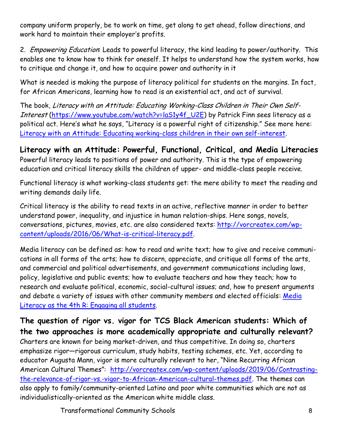company uniform properly, be to work on time, get along to get ahead, follow directions, and work hard to maintain their employer's profits.

2. Empowering Education: Leads to powerful literacy, the kind leading to power/authority. This enables one to know how to think for oneself. It helps to understand how the system works, how to critique and change it, and how to acquire power and authority in it

What is needed is making the purpose of literacy political for students on the margins. In fact, for African Americans, learning how to read is an existential act, and act of survival.

The book, Literacy with an Attitude: Educating Working-Class Children in Their Own Self-Interest [\(https://www.youtube.com/watch?v=laS1y4f\\_U2E\)](https://www.youtube.com/watch?v=laS1y4f_U2E) by Patrick Finn sees literacy as a political act. Here's what he says, "Literacy is a powerful right of citizenship." See more here: [Literacy with an Attitude: Educating working-class children in their own self-interest.](https://vorcreatex.com/wp-content/uploads/2022/05/Literacy-with-an-Attitude-Educating-working-class-children-in-their-own-self-interest.pdf)

**Literacy with an Attitude: Powerful, Functional, Critical, and Media Literacies** Powerful literacy leads to positions of power and authority. This is the type of empowering education and critical literacy skills the children of upper- and middle-class people receive.

Functional literacy is what working-class students get: the mere ability to meet the reading and writing demands daily life.

Critical literacy is the ability to read texts in an active, reflective manner in order to better understand power, inequality, and injustice in human relation-ships. Here songs, novels, conversations, pictures, movies, etc. are also considered texts: [http://vorcreatex.com/wp](http://vorcreatex.com/wp-content/uploads/2016/06/What-is-critical-literacy.pdf)[content/uploads/2016/06/What-is-critical-literacy.pdf.](http://vorcreatex.com/wp-content/uploads/2016/06/What-is-critical-literacy.pdf)

Media literacy can be defined as: how to read and write text; how to give and receive communications in all forms of the arts; how to discern, appreciate, and critique all forms of the arts, and commercial and political advertisements, and government communications including laws, policy, legislative and public events; how to evaluate teachers and how they teach; how to research and evaluate political, economic, social-cultural issues; and, how to present arguments and debate a variety of issues with other community members and elected officials: [Media](http://vorcreatex.com/wp-content/uploads/2016/06/Media-Literacy-as-the-4th-R-Engaging-all-students.pdf)  [Literacy as the 4th R: Engaging all students.](http://vorcreatex.com/wp-content/uploads/2016/06/Media-Literacy-as-the-4th-R-Engaging-all-students.pdf)

**The question of rigor vs. vigor for TCS Black American students: Which of the two approaches is more academically appropriate and culturally relevant?**  Charters are known for being market-driven, and thus competitive. In doing so, charters emphasize rigor—rigorous curriculum, study habits, testing schemes, etc. Yet, according to educator Augusta Mann, vigor is more culturally relevant to her, "Nine Recurring African American Cultural Themes": [http://vorcreatex.com/wp-content/uploads/2019/06/Contrasting](http://vorcreatex.com/wp-content/uploads/2019/06/Contrasting-the-relevance-of-rigor-vs.-vigor-to-African-American-cultural-themes.pdf)[the-relevance-of-rigor-vs.-vigor-to-African-American-cultural-themes.pdf.](http://vorcreatex.com/wp-content/uploads/2019/06/Contrasting-the-relevance-of-rigor-vs.-vigor-to-African-American-cultural-themes.pdf) The themes can also apply to family/community-oriented Latino and poor white communities which are not as individualistically-oriented as the American white middle class.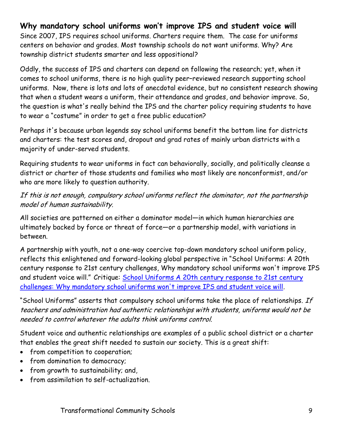#### **Why mandatory school uniforms won't improve IPS and student voice will**

Since 2007, IPS requires school uniforms. Charters require them. The case for uniforms centers on behavior and grades. Most township schools do not want uniforms. Why? Are township district students smarter and less oppositional?

Oddly, the success of IPS and charters can depend on following the research; yet, when it comes to school uniforms, there is no high quality peer–reviewed research supporting school uniforms. Now, there is lots and lots of anecdotal evidence, but no consistent research showing that when a student wears a uniform, their attendance and grades, and behavior improve. So, the question is what's really behind the IPS and the charter policy requiring students to have to wear a "costume" in order to get a free public education?

Perhaps it's because urban legends say school uniforms benefit the bottom line for districts and charters: the test scores and, dropout and grad rates of mainly urban districts with a majority of under-served students.

Requiring students to wear uniforms in fact can behaviorally, socially, and politically cleanse a district or charter of those students and families who most likely are nonconformist, and/or who are more likely to question authority.

#### If this is not enough, compulsory school uniforms reflect the dominator, not the partnership model of human sustainability.

All societies are patterned on either a dominator model—in which human hierarchies are ultimately backed by force or threat of force—or a partnership model, with variations in between.

A partnership with youth, not a one-way coercive top-down mandatory school uniform policy, reflects this enlightened and forward-looking global perspective in "School Uniforms: A 20th century response to 21st century challenges, Why mandatory school uniforms won't improve IPS and student voice will." Critique: [School Uniforms A 20th century](http://vorcreatex.com/wp-content/uploads/2012/11/School-Uniforms-A-20th-century-response-to-21st-century-challenges-Why-mandatory-school-uniforms-wont-improve-IPS-and-student-voice-will.pdf) response to 21st century [challenges: Why mandatory school uniforms won't improve IPS and student voice will.](http://vorcreatex.com/wp-content/uploads/2012/11/School-Uniforms-A-20th-century-response-to-21st-century-challenges-Why-mandatory-school-uniforms-wont-improve-IPS-and-student-voice-will.pdf)

"School Uniforms" asserts that compulsory school uniforms take the place of relationships. If teachers and administration had authentic relationships with students, uniforms would not be needed to control whatever the adults think uniforms control.

Student voice and authentic relationships are examples of a public school district or a charter that enables the great shift needed to sustain our society. This is a great shift:

- from competition to cooperation;
- from domination to democracy;
- from growth to sustainability; and,
- from assimilation to self-actualization.